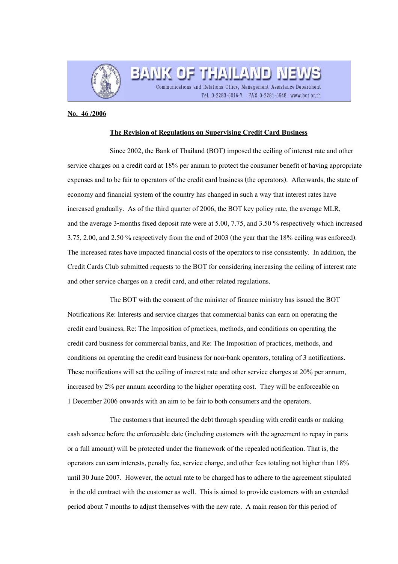

BANK OF THAILAND NE Communications and Relations Office, Management Assistance Department

Tel. 0-2283-5016-7 FAX 0-2281-5648 www.bot.or.th

## **No. 46 /2006**

## **The Revision of Regulations on Supervising Credit Card Business**

Since 2002, the Bank of Thailand (BOT) imposed the ceiling of interest rate and other service charges on a credit card at 18% per annum to protect the consumer benefit of having appropriate expenses and to be fair to operators of the credit card business (the operators). Afterwards, the state of economy and financial system of the country has changed in such a way that interest rates have increased gradually. As of the third quarter of 2006, the BOT key policy rate, the average MLR, and the average 3-months fixed deposit rate were at 5.00, 7.75, and 3.50 % respectively which increased 3.75, 2.00, and 2.50 % respectively from the end of 2003 (the year that the 18% ceiling was enforced). The increased rates have impacted financial costs of the operators to rise consistently. In addition, the Credit Cards Club submitted requests to the BOT for considering increasing the ceiling of interest rate and other service charges on a credit card, and other related regulations.

The BOT with the consent of the minister of finance ministry has issued the BOT Notifications Re: Interests and service charges that commercial banks can earn on operating the credit card business, Re: The Imposition of practices, methods, and conditions on operating the credit card business for commercial banks, and Re: The Imposition of practices, methods, and conditions on operating the credit card business for non-bank operators, totaling of 3 notifications. These notifications will set the ceiling of interest rate and other service charges at 20% per annum, increased by 2% per annum according to the higher operating cost. They will be enforceable on 1 December 2006 onwards with an aim to be fair to both consumers and the operators.

The customers that incurred the debt through spending with credit cards or making cash advance before the enforceable date (including customers with the agreement to repay in parts or a full amount) will be protected under the framework of the repealed notification. That is, the operators can earn interests, penalty fee, service charge, and other fees totaling not higher than 18% until 30 June 2007. However, the actual rate to be charged has to adhere to the agreement stipulated in the old contract with the customer as well. This is aimed to provide customers with an extended period about 7 months to adjust themselves with the new rate. A main reason for this period of